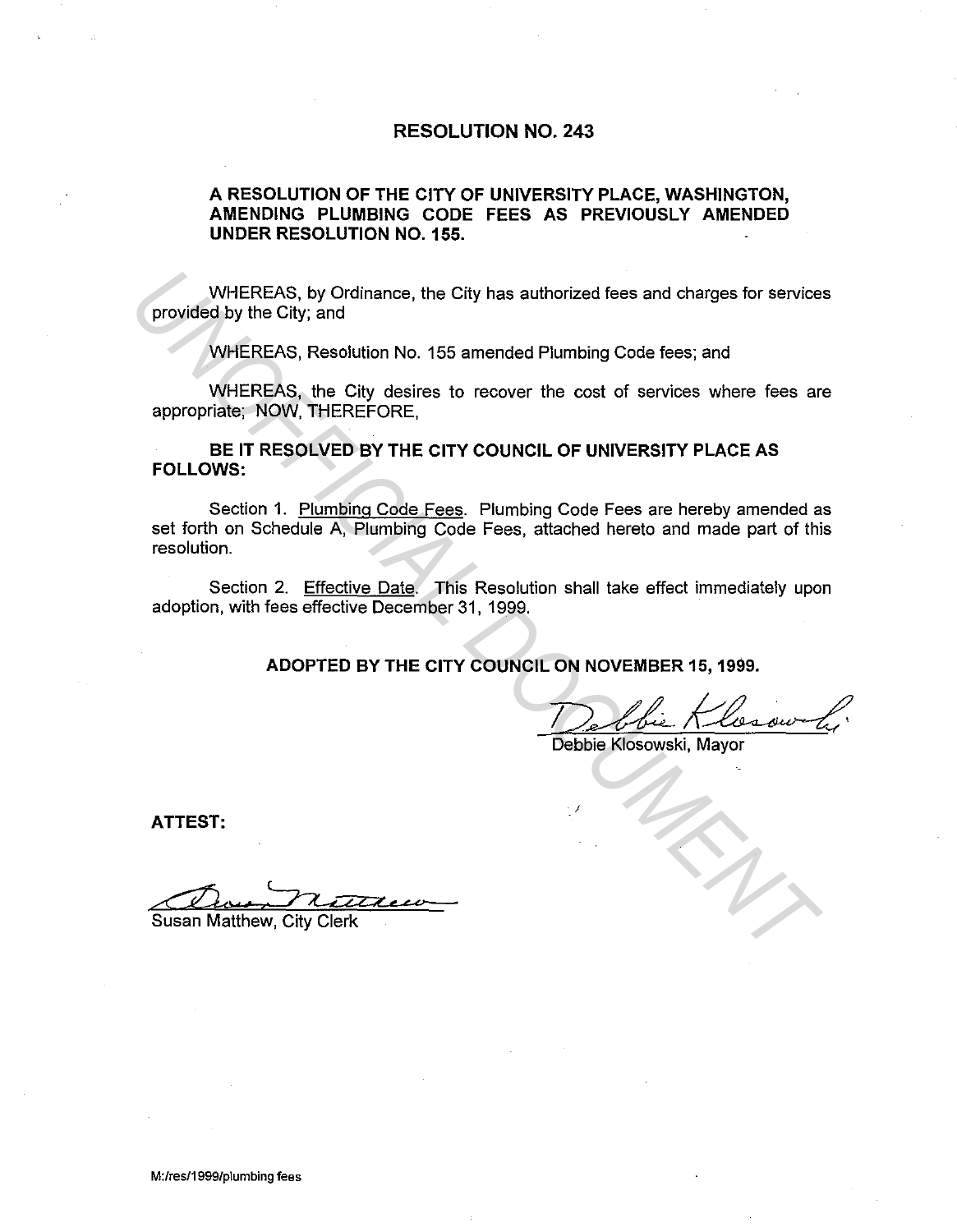## **RESOLUTION NO. 243**

## **A RESOLUTION OF THE CITY OF UNIVERSITY PLACE, WASHINGTON, AMENDING PLUMBING CODE FEES AS PREVIOUSLY AMENDED UNDER RESOLUTION NO. 155.**

WHEREAS, by Ordinance, the City has authorized fees and charges for services provided by the City; and

WHEREAS, Resolution No. 155 amended Plumbing Code fees; and

WHEREAS, the City desires to recover the cost of services where fees are appropriate; NOW, THEREFORE,

**BE IT RESOLVED BY THE CITY COUNCIL OF UNIVERSITY PLACE AS FOLLOWS:** 

Section 1. Plumbing Code Fees. Plumbing Code Fees are hereby amended as set forth on Schedule A, Plumbing Code Fees, attached hereto and made part of this resolution. WHEREAS, by Ordinance, the City has authorized fees and charges for service<br>
provided by the City, and<br>
WHEREAS, Resolution No. 155 amended Plumbing Code fees; and<br>
WHEREAS, the City desires to recover the cost of services

Section 2. Effective Date. This Resolution shall take effect immediately upon adoption, with fees effective December 31, 1999.

**ADOPTED BY THE CITY COUNCIL ON NOVEMBER 15, 1999.** 

ON NOVEMBER 15, 1999.<br>Debbie Klosowski, Mayor

j

**ATTEST:** 

ATTEST:<br>Channels Matthew, City Clerk<br>Susan Matthew, City Clerk